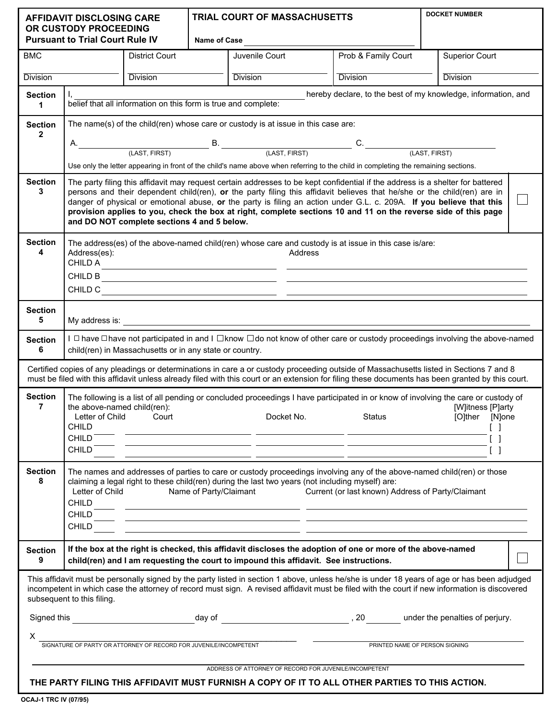| <b>AFFIDAVIT DISCLOSING CARE</b><br>OR CUSTODY PROCEEDING<br><b>Pursuant to Trial Court Rule IV</b>                                                                                                                                                                                                                         |                                                                                                                                                                                                                                                                                                                                                                                                                                                                                                                                                     |                       | TRIAL COURT OF MASSACHUSETTS<br>Name of Case |                                                                                                                                                                                                      |                                | <b>DOCKET NUMBER</b>  |  |
|-----------------------------------------------------------------------------------------------------------------------------------------------------------------------------------------------------------------------------------------------------------------------------------------------------------------------------|-----------------------------------------------------------------------------------------------------------------------------------------------------------------------------------------------------------------------------------------------------------------------------------------------------------------------------------------------------------------------------------------------------------------------------------------------------------------------------------------------------------------------------------------------------|-----------------------|----------------------------------------------|------------------------------------------------------------------------------------------------------------------------------------------------------------------------------------------------------|--------------------------------|-----------------------|--|
| <b>BMC</b>                                                                                                                                                                                                                                                                                                                  |                                                                                                                                                                                                                                                                                                                                                                                                                                                                                                                                                     | <b>District Court</b> |                                              | Juvenile Court                                                                                                                                                                                       | Prob & Family Court            | <b>Superior Court</b> |  |
| <b>Division</b><br><b>Division</b>                                                                                                                                                                                                                                                                                          |                                                                                                                                                                                                                                                                                                                                                                                                                                                                                                                                                     |                       | <b>Division</b>                              | <b>Division</b>                                                                                                                                                                                      | <b>Division</b>                |                       |  |
| <b>Section</b><br>1                                                                                                                                                                                                                                                                                                         | hereby declare, to the best of my knowledge, information, and<br>belief that all information on this form is true and complete:                                                                                                                                                                                                                                                                                                                                                                                                                     |                       |                                              |                                                                                                                                                                                                      |                                |                       |  |
| <b>Section</b><br>$\mathbf{2}$                                                                                                                                                                                                                                                                                              | The name(s) of the child(ren) whose care or custody is at issue in this case are:                                                                                                                                                                                                                                                                                                                                                                                                                                                                   |                       |                                              |                                                                                                                                                                                                      |                                |                       |  |
|                                                                                                                                                                                                                                                                                                                             | А.                                                                                                                                                                                                                                                                                                                                                                                                                                                                                                                                                  |                       |                                              | $B.$ (LAST, FIRST) $B.$ (LAST, FIRST) $C.$<br>(LAST, FIRST)                                                                                                                                          |                                |                       |  |
| Use only the letter appearing in front of the child's name above when referring to the child in completing the remaining sections.                                                                                                                                                                                          |                                                                                                                                                                                                                                                                                                                                                                                                                                                                                                                                                     |                       |                                              |                                                                                                                                                                                                      |                                |                       |  |
| <b>Section</b><br>3                                                                                                                                                                                                                                                                                                         | The party filing this affidavit may request certain addresses to be kept confidential if the address is a shelter for battered<br>persons and their dependent child(ren), or the party filing this affidavit believes that he/she or the child(ren) are in<br>danger of physical or emotional abuse, or the party is filing an action under G.L. c. 209A. If you believe that this<br>provision applies to you, check the box at right, complete sections 10 and 11 on the reverse side of this page<br>and DO NOT complete sections 4 and 5 below. |                       |                                              |                                                                                                                                                                                                      |                                |                       |  |
| <b>Section</b><br>4                                                                                                                                                                                                                                                                                                         | The address(es) of the above-named child(ren) whose care and custody is at issue in this case is/are:<br>Address(es):<br>Address<br>CHILD A<br><u> 1989 - Andrea Stadt, fransk politik (* 1958)</u>                                                                                                                                                                                                                                                                                                                                                 |                       |                                              |                                                                                                                                                                                                      |                                |                       |  |
| <b>Section</b><br>5                                                                                                                                                                                                                                                                                                         |                                                                                                                                                                                                                                                                                                                                                                                                                                                                                                                                                     |                       |                                              |                                                                                                                                                                                                      |                                |                       |  |
| <b>Section</b><br>6                                                                                                                                                                                                                                                                                                         | I □ have □ have not participated in and I □ know □ do not know of other care or custody proceedings involving the above-named<br>child(ren) in Massachusetts or in any state or country.                                                                                                                                                                                                                                                                                                                                                            |                       |                                              |                                                                                                                                                                                                      |                                |                       |  |
| Certified copies of any pleadings or determinations in care a or custody proceeding outside of Massachusetts listed in Sections 7 and 8<br>must be filed with this affidavit unless already filed with this court or an extension for filing these documents has been granted by this court.                                |                                                                                                                                                                                                                                                                                                                                                                                                                                                                                                                                                     |                       |                                              |                                                                                                                                                                                                      |                                |                       |  |
| <b>Section</b><br>$\overline{7}$                                                                                                                                                                                                                                                                                            | The following is a list of all pending or concluded proceedings I have participated in or know of involving the care or custody of<br>the above-named child(ren):<br>[W]itness [P]arty<br>Letter of Child Court<br><b>Status Example 2019</b><br>[O]ther [N]one<br>Docket No.<br><b>CHILD</b><br>$\Box$<br><u> 1999 - John Stein, mars et al. 1999 - John Stein, mars et al. 1999 - John Stein, mars et al. 1999 - John Stein</u><br>$\begin{bmatrix} \end{bmatrix}$<br>CHILD <sup>®</sup><br><b>CHILD</b><br>$\begin{bmatrix} 1 \end{bmatrix}$     |                       |                                              |                                                                                                                                                                                                      |                                |                       |  |
| <b>Section</b><br>8                                                                                                                                                                                                                                                                                                         | The names and addresses of parties to care or custody proceedings involving any of the above-named child(ren) or those<br>claiming a legal right to these child(ren) during the last two years (not including myself) are:<br>Letter of Child<br>Name of Party/Claimant<br>Current (or last known) Address of Party/Claimant<br><b>CHILD</b><br><u> 1989 - Andrea Santana, amerikana politika (h. 1989).</u><br><b>CHILD</b><br><u> 1989 - Andrea San Andrea (b. 1989)</u><br>CHILD                                                                 |                       |                                              |                                                                                                                                                                                                      |                                |                       |  |
| <b>Section</b><br>9                                                                                                                                                                                                                                                                                                         |                                                                                                                                                                                                                                                                                                                                                                                                                                                                                                                                                     |                       |                                              | If the box at the right is checked, this affidavit discloses the adoption of one or more of the above-named<br>child(ren) and I am requesting the court to impound this affidavit. See instructions. |                                |                       |  |
| This affidavit must be personally signed by the party listed in section 1 above, unless he/she is under 18 years of age or has been adjudged<br>incompetent in which case the attorney of record must sign. A revised affidavit must be filed with the court if new information is discovered<br>subsequent to this filing. |                                                                                                                                                                                                                                                                                                                                                                                                                                                                                                                                                     |                       |                                              |                                                                                                                                                                                                      |                                |                       |  |
|                                                                                                                                                                                                                                                                                                                             |                                                                                                                                                                                                                                                                                                                                                                                                                                                                                                                                                     |                       |                                              |                                                                                                                                                                                                      |                                |                       |  |
| X.<br>SIGNATURE OF PARTY OR ATTORNEY OF RECORD FOR JUVENILE/INCOMPETENT                                                                                                                                                                                                                                                     |                                                                                                                                                                                                                                                                                                                                                                                                                                                                                                                                                     |                       |                                              |                                                                                                                                                                                                      |                                |                       |  |
|                                                                                                                                                                                                                                                                                                                             |                                                                                                                                                                                                                                                                                                                                                                                                                                                                                                                                                     |                       |                                              |                                                                                                                                                                                                      | PRINTED NAME OF PERSON SIGNING |                       |  |
| ADDRESS OF ATTORNEY OF RECORD FOR JUVENILE/INCOMPETENT<br>THE PARTY FILING THIS AFFIDAVIT MUST FURNISH A COPY OF IT TO ALL OTHER PARTIES TO THIS ACTION.                                                                                                                                                                    |                                                                                                                                                                                                                                                                                                                                                                                                                                                                                                                                                     |                       |                                              |                                                                                                                                                                                                      |                                |                       |  |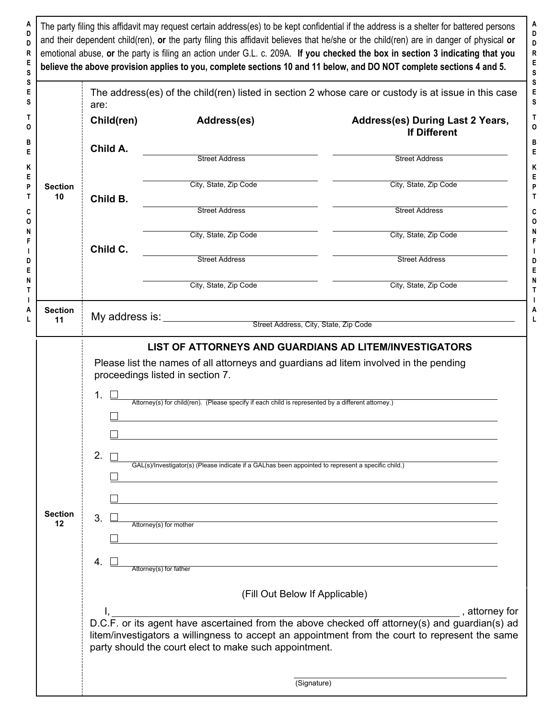**A** The party filing this affidavit may request certain address(es) to be kept confidential if the address is a shelter for battered persons **D** and their dependent child(ren), **or** the party filing this affidavit believes that he/she or the child(ren) are in danger of physical **or D R** emotional abuse, **or** the party is filing an action under G.L. c. 209A. **If you checked the box in section 3 indicating that you E believe the above provision applies to you, complete sections 10 and 11 below, and DO NOT complete sections 4 and 5. S S E** The address(es) of the child(ren) listed in section 2 whose care or custody is at issue in this case **S** are: **T Child(ren) Address(es) Address(es) During Last 2 Years, O If Different B Child A. E** Street Address Street Address **K E** City, State, Zip Code City, State, Zip Code **P Section T 10 Child B.** Street Address Street Address **C O N** City, State, Zip Code City, State, Zip Code **F Child C. I** Street Address Street Address **D E N** City, State, Zip Code City, State, Zip Code **T I A Section** My address is: <u>Chamann Street Address, City, State, Zip Code</u> **L LIST OF ATTORNEYS AND GUARDIANS AD LITEM/INVESTIGATORS** Please list the names of all attorneys and guardians ad litem involved in the pending proceedings listed in section 7. 1. Attorney(s) for child(ren). (Please specify if each child is represented by a different attorney.)  $\Box$  $\Box$ 2.  $\Box$ GAL(s)/Investigator(s) (Please indicate if a GALhas been appointed to represent a specific child.)  $\Box$  $\Box$ **Section** 3. **12** Attorney(s) for mother 4. □ Attorney(s) for father (Fill Out Below If Applicable) I, , attorney for D.C.F. or its agent have ascertained from the above checked off attorney(s) and guardian(s) ad litem/investigators a willingness to accept an appointment from the court to represent the same party should the court elect to make such appointment. (Signature)

**A D D R E S S E S T O B E K E P T C O N F I D E N T I A L**